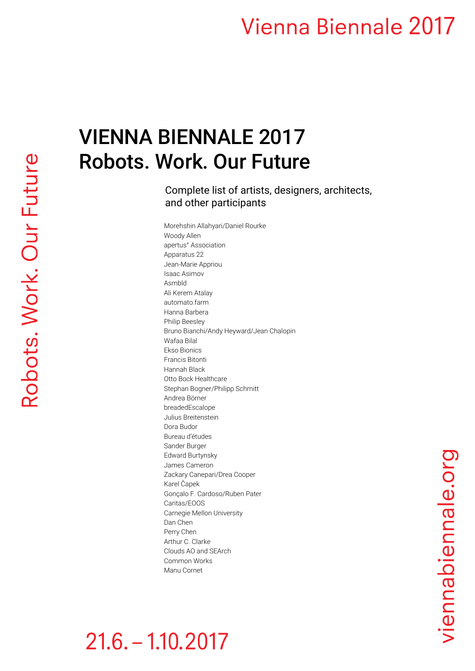# VIENNA BIENNALE 2017 Robots. Work. Our Future

Complete list of artists, designers, architects, and other participants

Morehshin Allahyari/Daniel Rourke Woody Allen apertus° Association Apparatus 22 Jean-Marie Appriou Isaac Asimov Asmbld Ali Kerem Atalay automato.farm Hanna Barbera Philip Beesley Bruno Bianchi/Andy Heyward/Jean Chalopin Wafaa Bilal Ekso Bionics Francis Bitonti Hannah Black Otto Bock Healthcare Stephan Bogner/Philipp Schmitt Andrea Börner breadedEscalope Julius Breitenstein Dora Budor Bureau d'études Sander Burger Edward Burtynsky James Cameron Zackary Canepari/Drea Cooper Karel Čapek Gonçalo F. Cardoso/Ruben Pater Caritas/EOOS Carnegie Mellon University Dan Chen Perry Chen Arthur C. Clarke Clouds AO and SEArch Common Works Manu Cornet

# $21.6 - 1.10.2017$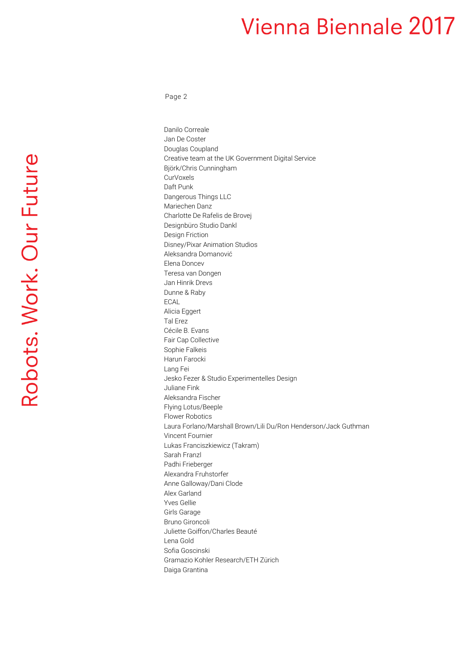Page 2

Robots. Work. Our Future

Danilo Correale Jan De Coster Douglas Coupland Creative team at the UK Government Digital Service Björk/Chris Cunningham CurVoxels Daft Punk Dangerous Things LLC Mariechen Danz Charlotte De Rafelis de Brovej Designbüro Studio Dankl Design Friction Disney/Pixar Animation Studios Aleksandra Domanović Elena Doncev Teresa van Dongen Jan Hinrik Drevs Dunne & Raby ECAL Alicia Eggert Tal Erez Cécile B. Evans Fair Cap Collective Sophie Falkeis Harun Farocki Lang Fei Jesko Fezer & Studio Experimentelles Design Juliane Fink Aleksandra Fischer Flying Lotus/Beeple Flower Robotics Laura Forlano/Marshall Brown/Lili Du/Ron Henderson/Jack Guthman Vincent Fournier Lukas Franciszkiewicz (Takram) Sarah Franzl Padhi Frieberger Alexandra Fruhstorfer Anne Galloway/Dani Clode Alex Garland Yves Gellie Girls Garage Bruno Gironcoli Juliette Goiffon/Charles Beauté Lena Gold Sofia Goscinski Gramazio Kohler Research/ETH Zürich Daiga Grantina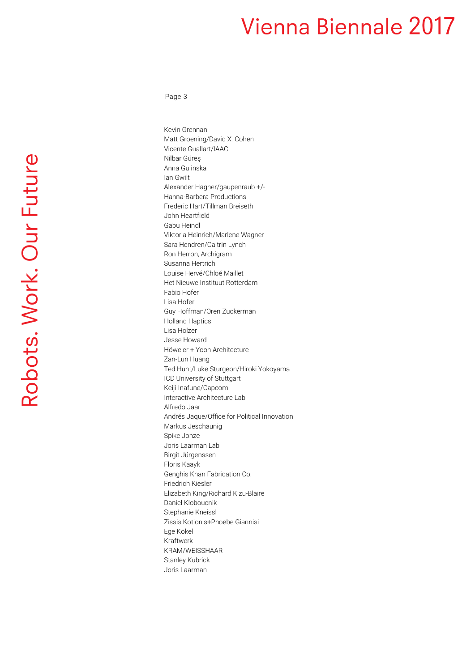Page 3

Robots. Work. Our Future

Kevin Grennan Matt Groening/David X. Cohen Vicente Guallart/IAAC Nilbar Güreş Anna Gulinska Ian Gwilt Alexander Hagner/gaupenraub +/- Hanna-Barbera Productions Frederic Hart/Tillman Breiseth John Heartfield Gabu Heindl Viktoria Heinrich/Marlene Wagner Sara Hendren/Caitrin Lynch Ron Herron, Archigram Susanna Hertrich Louise Hervé/Chloé Maillet Het Nieuwe Instituut Rotterdam Fabio Hofer Lisa Hofer Guy Hoffman/Oren Zuckerman Holland Haptics Lisa Holzer Jesse Howard Höweler + Yoon Architecture Zan-Lun Huang Ted Hunt/Luke Sturgeon/Hiroki Yokoyama ICD University of Stuttgart Keiji Inafune/Capcom Interactive Architecture Lab Alfredo Jaar Andrés Jaque/Office for Political Innovation Markus Jeschaunig Spike Jonze Joris Laarman Lab Birgit Jürgenssen Floris Kaayk Genghis Khan Fabrication Co. Friedrich Kiesler Elizabeth King/Richard Kizu-Blaire Daniel Kloboucnik Stephanie Kneissl Zissis Kotionis+Phoebe Giannisi Ege Kökel Kraftwerk KRAM/WEISSHAAR Stanley Kubrick Joris Laarman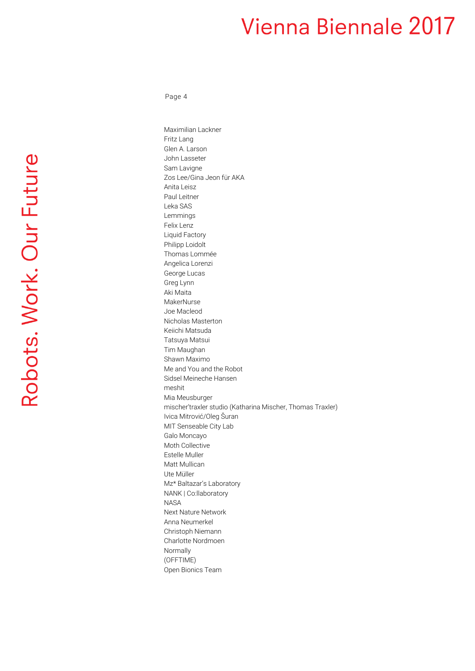Page 4

Robots. Work. Our Future

Maximilian Lackner Fritz Lang Glen A. Larson John Lasseter Sam Lavigne Zos Lee/Gina Jeon für AKA Anita Leisz Paul Leitner Leka SAS Lemmings Felix Lenz Liquid Factory Philipp Loidolt Thomas Lommée Angelica Lorenzi George Lucas Greg Lynn Aki Maita MakerNurse Joe Macleod Nicholas Masterton Keiichi Matsuda Tatsuya Matsui Tim Maughan Shawn Maximo Me and You and the Robot Sidsel Meineche Hansen meshit Mia Meusburger mischer'traxler studio (Katharina Mischer, Thomas Traxler) Ivica Mitrović/Oleg Šuran MIT Senseable City Lab Galo Moncayo Moth Collective Estelle Muller Matt Mullican Ute Müller Mz\* Baltazar's Laboratory NANK | Co:llaboratory NASA Next Nature Network Anna Neumerkel Christoph Niemann Charlotte Nordmoen Normally (OFFTIME) Open Bionics Team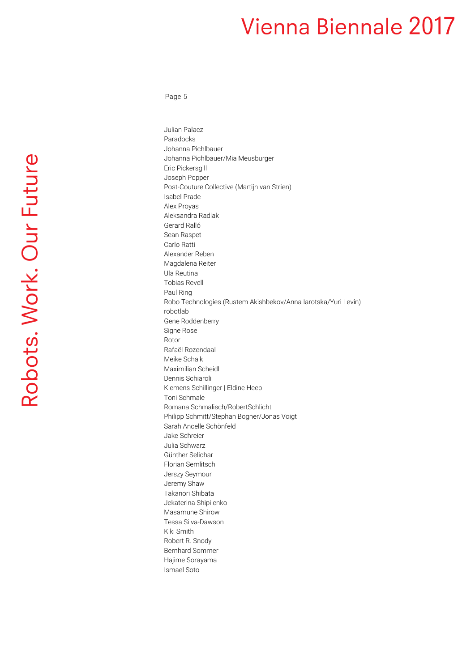Page 5

Robots. Work. Our Future

Julian Palacz Paradocks Johanna Pichlbauer Johanna Pichlbauer/Mia Meusburger Eric Pickersgill Joseph Popper Post-Couture Collective (Martijn van Strien) Isabel Prade Alex Proyas Aleksandra Radlak Gerard Ralló Sean Raspet Carlo Ratti Alexander Reben Magdalena Reiter Ula Reutina Tobias Revell Paul Ring Robo Technologies (Rustem Akishbekov/Anna Iarotska/Yuri Levin) robotlab Gene Roddenberry Signe Rose Rotor Rafaël Rozendaal Meike Schalk Maximilian Scheidl Dennis Schiaroli Klemens Schillinger | Eldine Heep Toni Schmale Romana Schmalisch/RobertSchlicht Philipp Schmitt/Stephan Bogner/Jonas Voigt Sarah Ancelle Schönfeld Jake Schreier Julia Schwarz Günther Selichar Florian Semlitsch Jerszy Seymour Jeremy Shaw Takanori Shibata Jekaterina Shipilenko Masamune Shirow Tessa Silva-Dawson Kiki Smith Robert R. Snody Bernhard Sommer Hajime Sorayama Ismael Soto